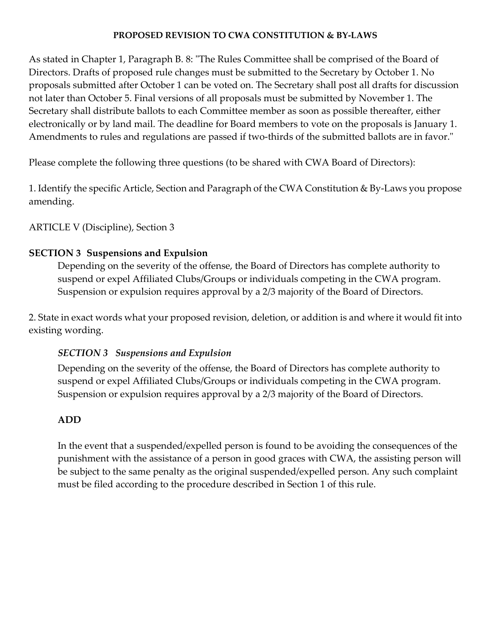## **PROPOSED REVISION TO CWA CONSTITUTION & BY‐LAWS**

As stated in Chapter 1, Paragraph B. 8: "The Rules Committee shall be comprised of the Board of Directors. Drafts of proposed rule changes must be submitted to the Secretary by October 1. No proposals submitted after October 1 can be voted on. The Secretary shall post all drafts for discussion not later than October 5. Final versions of all proposals must be submitted by November 1. The Secretary shall distribute ballots to each Committee member as soon as possible thereafter, either electronically or by land mail. The deadline for Board members to vote on the proposals is January 1. Amendments to rules and regulations are passed if two-thirds of the submitted ballots are in favor."

Please complete the following three questions (to be shared with CWA Board of Directors):

1. Identify the specific Article, Section and Paragraph of the CWA Constitution & By‐Laws you propose amending.

ARTICLE V (Discipline), Section 3

## **SECTION 3 Suspensions and Expulsion**

Depending on the severity of the offense, the Board of Directors has complete authority to suspend or expel Affiliated Clubs/Groups or individuals competing in the CWA program. Suspension or expulsion requires approval by a 2/3 majority of the Board of Directors.

2. State in exact words what your proposed revision, deletion, or addition is and where it would fit into existing wording.

## *SECTION 3 Suspensions and Expulsion*

Depending on the severity of the offense, the Board of Directors has complete authority to suspend or expel Affiliated Clubs/Groups or individuals competing in the CWA program. Suspension or expulsion requires approval by a 2/3 majority of the Board of Directors.

## **ADD**

In the event that a suspended/expelled person is found to be avoiding the consequences of the punishment with the assistance of a person in good graces with CWA, the assisting person will be subject to the same penalty as the original suspended/expelled person. Any such complaint must be filed according to the procedure described in Section 1 of this rule.